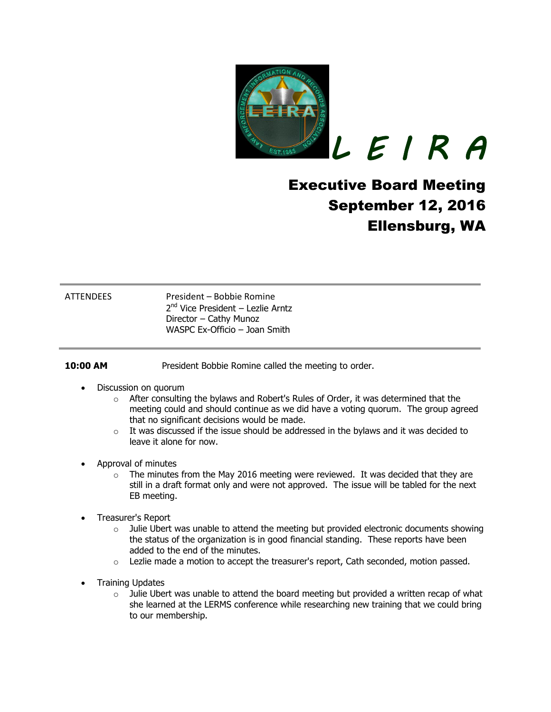

*L E I R A* 

# Executive Board Meeting September 12, 2016 Ellensburg, WA

ATTENDEES President – Bobbie Romine 2<sup>nd</sup> Vice President – Lezlie Arntz Director – Cathy Munoz WASPC Ex-Officio – Joan Smith

**10:00 AM** President Bobbie Romine called the meeting to order.

- Discussion on quorum
	- $\circ$  After consulting the bylaws and Robert's Rules of Order, it was determined that the meeting could and should continue as we did have a voting quorum. The group agreed that no significant decisions would be made.
	- $\circ$  It was discussed if the issue should be addressed in the bylaws and it was decided to leave it alone for now.
- Approval of minutes
	- $\circ$  The minutes from the May 2016 meeting were reviewed. It was decided that they are still in a draft format only and were not approved. The issue will be tabled for the next EB meeting.
- Treasurer's Report
	- $\circ$  Julie Ubert was unable to attend the meeting but provided electronic documents showing the status of the organization is in good financial standing. These reports have been added to the end of the minutes.
	- $\circ$  Lezlie made a motion to accept the treasurer's report, Cath seconded, motion passed.
- Training Updates
	- $\circ$  Julie Ubert was unable to attend the board meeting but provided a written recap of what she learned at the LERMS conference while researching new training that we could bring to our membership.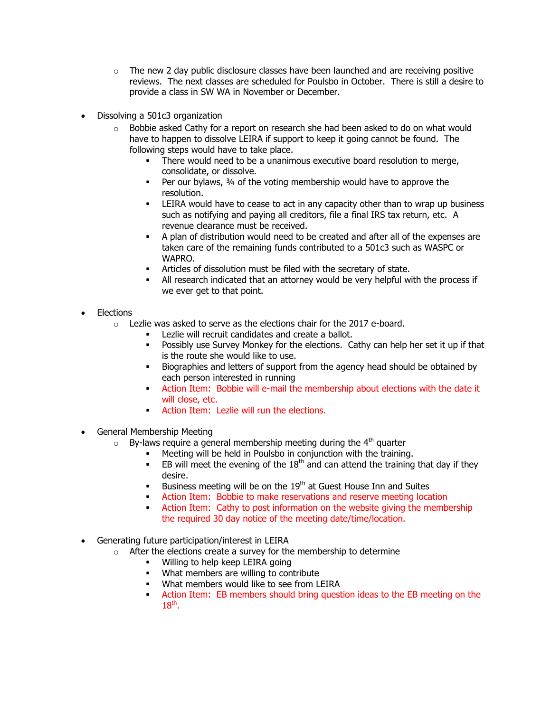- $\circ$  The new 2 day public disclosure classes have been launched and are receiving positive reviews. The next classes are scheduled for Poulsbo in October. There is still a desire to provide a class in SW WA in November or December.
- Dissolving a 501c3 organization
	- $\circ$  Bobbie asked Cathy for a report on research she had been asked to do on what would have to happen to dissolve LEIRA if support to keep it going cannot be found. The following steps would have to take place.
		- There would need to be a unanimous executive board resolution to merge, consolidate, or dissolve.
		- Per our bylaws, 34 of the voting membership would have to approve the resolution.
		- LEIRA would have to cease to act in any capacity other than to wrap up business such as notifying and paying all creditors, file a final IRS tax return, etc. A revenue clearance must be received.
		- A plan of distribution would need to be created and after all of the expenses are taken care of the remaining funds contributed to a 501c3 such as WASPC or WAPRO.
		- Articles of dissolution must be filed with the secretary of state.
		- All research indicated that an attorney would be very helpful with the process if we ever get to that point.
- Elections
	- $\circ$  Lezlie was asked to serve as the elections chair for the 2017 e-board.
		- Lezlie will recruit candidates and create a ballot.
		- **Possibly use Survey Monkey for the elections. Cathy can help her set it up if that** is the route she would like to use.
		- Biographies and letters of support from the agency head should be obtained by each person interested in running
		- Action Item: Bobbie will e-mail the membership about elections with the date it will close, etc.
		- **Action Item:** Lezlie will run the elections.
- General Membership Meeting
	- $\circ$  By-laws require a general membership meeting during the 4<sup>th</sup> quarter
		- Meeting will be held in Poulsbo in conjunction with the training.
		- **EB** will meet the evening of the  $18<sup>th</sup>$  and can attend the training that day if they desire.
		- Business meeting will be on the  $19<sup>th</sup>$  at Guest House Inn and Suites
		- Action Item: Bobbie to make reservations and reserve meeting location
		- Action Item: Cathy to post information on the website giving the membership the required 30 day notice of the meeting date/time/location.
- Generating future participation/interest in LEIRA
	- $\circ$  After the elections create a survey for the membership to determine
		- Willing to help keep LEIRA going
		- What members are willing to contribute
		- What members would like to see from LEIRA
		- Action Item: EB members should bring question ideas to the EB meeting on the  $18<sup>th</sup>$ .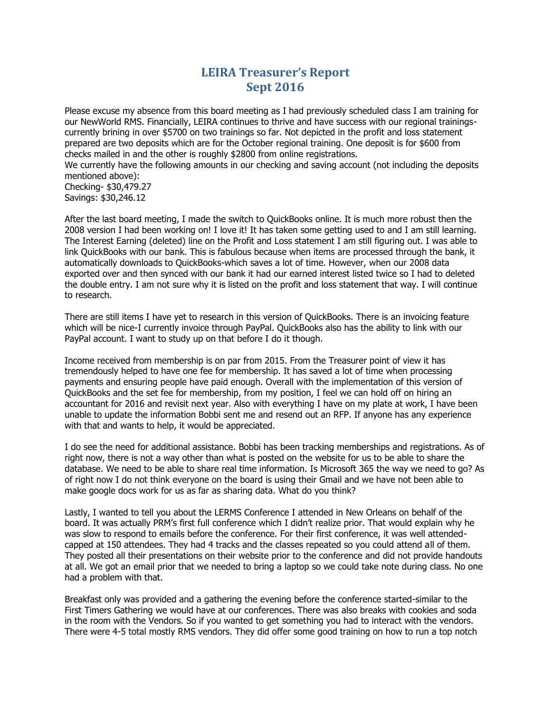### **LEIRA Treasurer's Report Sept 2016**

Please excuse my absence from this board meeting as I had previously scheduled class I am training for our NewWorld RMS. Financially, LEIRA continues to thrive and have success with our regional trainingscurrently brining in over \$5700 on two trainings so far. Not depicted in the profit and loss statement prepared are two deposits which are for the October regional training. One deposit is for \$600 from checks mailed in and the other is roughly \$2800 from online registrations.

We currently have the following amounts in our checking and saving account (not including the deposits mentioned above):

Checking- \$30,479.27 Savings: \$30,246.12

After the last board meeting, I made the switch to QuickBooks online. It is much more robust then the 2008 version I had been working on! I love it! It has taken some getting used to and I am still learning. The Interest Earning (deleted) line on the Profit and Loss statement I am still figuring out. I was able to link QuickBooks with our bank. This is fabulous because when items are processed through the bank, it automatically downloads to QuickBooks-which saves a lot of time. However, when our 2008 data exported over and then synced with our bank it had our earned interest listed twice so I had to deleted the double entry. I am not sure why it is listed on the profit and loss statement that way. I will continue to research.

There are still items I have yet to research in this version of QuickBooks. There is an invoicing feature which will be nice-I currently invoice through PayPal. QuickBooks also has the ability to link with our PayPal account. I want to study up on that before I do it though.

Income received from membership is on par from 2015. From the Treasurer point of view it has tremendously helped to have one fee for membership. It has saved a lot of time when processing payments and ensuring people have paid enough. Overall with the implementation of this version of QuickBooks and the set fee for membership, from my position, I feel we can hold off on hiring an accountant for 2016 and revisit next year. Also with everything I have on my plate at work, I have been unable to update the information Bobbi sent me and resend out an RFP. If anyone has any experience with that and wants to help, it would be appreciated.

I do see the need for additional assistance. Bobbi has been tracking memberships and registrations. As of right now, there is not a way other than what is posted on the website for us to be able to share the database. We need to be able to share real time information. Is Microsoft 365 the way we need to go? As of right now I do not think everyone on the board is using their Gmail and we have not been able to make google docs work for us as far as sharing data. What do you think?

Lastly, I wanted to tell you about the LERMS Conference I attended in New Orleans on behalf of the board. It was actually PRM's first full conference which I didn't realize prior. That would explain why he was slow to respond to emails before the conference. For their first conference, it was well attendedcapped at 150 attendees. They had 4 tracks and the classes repeated so you could attend all of them. They posted all their presentations on their website prior to the conference and did not provide handouts at all. We got an email prior that we needed to bring a laptop so we could take note during class. No one had a problem with that.

Breakfast only was provided and a gathering the evening before the conference started-similar to the First Timers Gathering we would have at our conferences. There was also breaks with cookies and soda in the room with the Vendors. So if you wanted to get something you had to interact with the vendors. There were 4-5 total mostly RMS vendors. They did offer some good training on how to run a top notch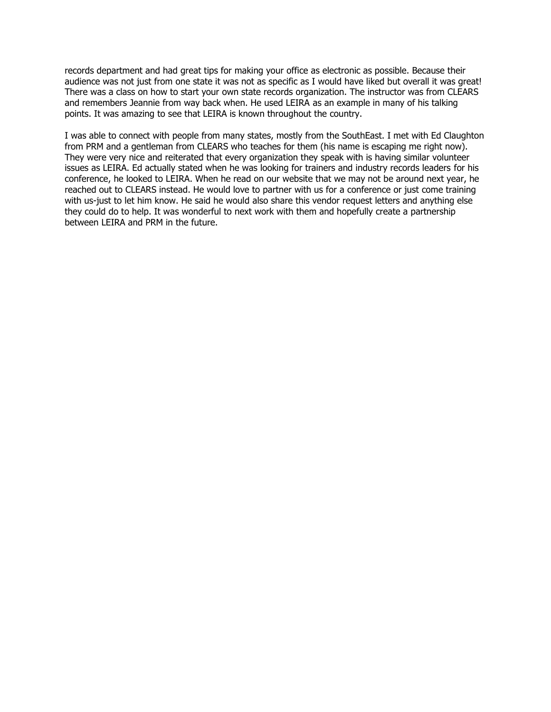records department and had great tips for making your office as electronic as possible. Because their audience was not just from one state it was not as specific as I would have liked but overall it was great! There was a class on how to start your own state records organization. The instructor was from CLEARS and remembers Jeannie from way back when. He used LEIRA as an example in many of his talking points. It was amazing to see that LEIRA is known throughout the country.

I was able to connect with people from many states, mostly from the SouthEast. I met with Ed Claughton from PRM and a gentleman from CLEARS who teaches for them (his name is escaping me right now). They were very nice and reiterated that every organization they speak with is having similar volunteer issues as LEIRA. Ed actually stated when he was looking for trainers and industry records leaders for his conference, he looked to LEIRA. When he read on our website that we may not be around next year, he reached out to CLEARS instead. He would love to partner with us for a conference or just come training with us-just to let him know. He said he would also share this vendor request letters and anything else they could do to help. It was wonderful to next work with them and hopefully create a partnership between LEIRA and PRM in the future.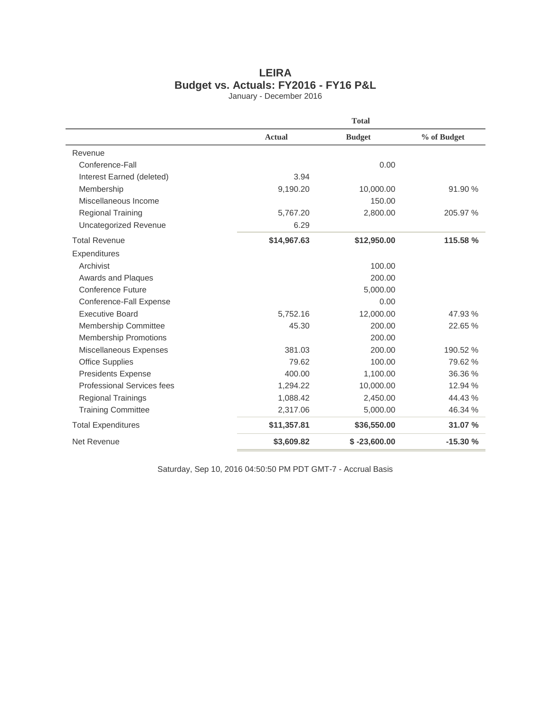## **LEIRA Budget vs. Actuals: FY2016 - FY16 P&L**

January - December 2016

|                              | <b>Total</b>  |                |             |
|------------------------------|---------------|----------------|-------------|
|                              | <b>Actual</b> | <b>Budget</b>  | % of Budget |
| Revenue                      |               |                |             |
| Conference-Fall              |               | 0.00           |             |
| Interest Earned (deleted)    | 3.94          |                |             |
| Membership                   | 9,190.20      | 10,000.00      | 91.90 %     |
| Miscellaneous Income         |               | 150.00         |             |
| <b>Regional Training</b>     | 5,767.20      | 2,800.00       | 205.97 %    |
| Uncategorized Revenue        | 6.29          |                |             |
| <b>Total Revenue</b>         | \$14,967.63   | \$12,950.00    | 115.58 %    |
| Expenditures                 |               |                |             |
| Archivist                    |               | 100.00         |             |
| Awards and Plaques           |               | 200.00         |             |
| Conference Future            |               | 5,000.00       |             |
| Conference-Fall Expense      |               | 0.00           |             |
| <b>Executive Board</b>       | 5,752.16      | 12,000.00      | 47.93 %     |
| <b>Membership Committee</b>  | 45.30         | 200.00         | 22.65 %     |
| <b>Membership Promotions</b> |               | 200.00         |             |
| Miscellaneous Expenses       | 381.03        | 200.00         | 190.52 %    |
| <b>Office Supplies</b>       | 79.62         | 100.00         | 79.62 %     |
| <b>Presidents Expense</b>    | 400.00        | 1,100.00       | 36.36 %     |
| Professional Services fees   | 1,294.22      | 10,000.00      | 12.94 %     |
| <b>Regional Trainings</b>    | 1,088.42      | 2,450.00       | 44.43%      |
| <b>Training Committee</b>    | 2,317.06      | 5,000.00       | 46.34 %     |
| <b>Total Expenditures</b>    | \$11,357.81   | \$36,550.00    | 31.07 %     |
| Net Revenue                  | \$3,609.82    | $$ -23,600.00$ | $-15.30%$   |

Saturday, Sep 10, 2016 04:50:50 PM PDT GMT-7 - Accrual Basis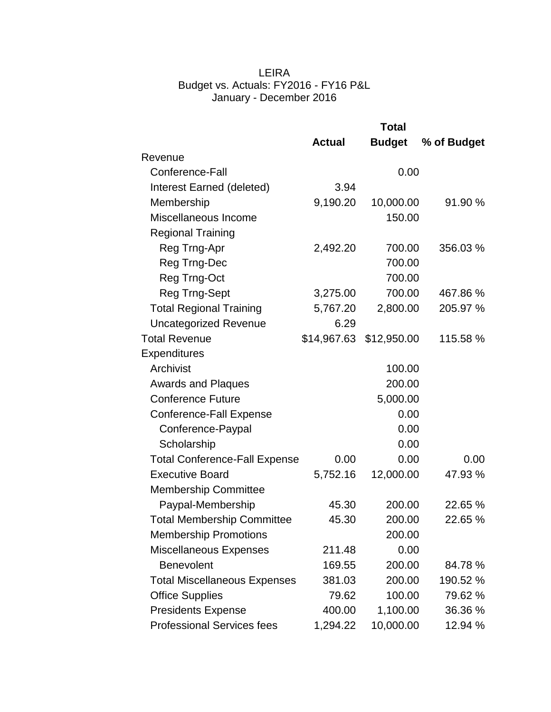#### LEIRA Budget vs. Actuals: FY2016 - FY16 P&L January - December 2016

|                                      | <b>Total</b>  |               |             |
|--------------------------------------|---------------|---------------|-------------|
|                                      | <b>Actual</b> | <b>Budget</b> | % of Budget |
| Revenue                              |               |               |             |
| Conference-Fall                      |               | 0.00          |             |
| Interest Earned (deleted)            | 3.94          |               |             |
| Membership                           | 9,190.20      | 10,000.00     | 91.90 %     |
| Miscellaneous Income                 |               | 150.00        |             |
| <b>Regional Training</b>             |               |               |             |
| Reg Trng-Apr                         | 2,492.20      | 700.00        | 356.03 %    |
| Reg Trng-Dec                         |               | 700.00        |             |
| Reg Trng-Oct                         |               | 700.00        |             |
| Reg Trng-Sept                        | 3,275.00      | 700.00        | 467.86 %    |
| <b>Total Regional Training</b>       | 5,767.20      | 2,800.00      | 205.97 %    |
| <b>Uncategorized Revenue</b>         | 6.29          |               |             |
| <b>Total Revenue</b>                 | \$14,967.63   | \$12,950.00   | 115.58 %    |
| <b>Expenditures</b>                  |               |               |             |
| Archivist                            |               | 100.00        |             |
| <b>Awards and Plaques</b>            |               | 200.00        |             |
| <b>Conference Future</b>             |               | 5,000.00      |             |
| <b>Conference-Fall Expense</b>       |               | 0.00          |             |
| Conference-Paypal                    |               | 0.00          |             |
| Scholarship                          |               | 0.00          |             |
| <b>Total Conference-Fall Expense</b> | 0.00          | 0.00          | 0.00        |
| <b>Executive Board</b>               | 5,752.16      | 12,000.00     | 47.93 %     |
| Membership Committee                 |               |               |             |
| Paypal-Membership                    | 45.30         | 200.00        | 22.65 %     |
| <b>Total Membership Committee</b>    | 45.30         | 200.00        | 22.65 %     |
| <b>Membership Promotions</b>         |               | 200.00        |             |
| <b>Miscellaneous Expenses</b>        | 211.48        | 0.00          |             |
| <b>Benevolent</b>                    | 169.55        | 200.00        | 84.78 %     |
| <b>Total Miscellaneous Expenses</b>  | 381.03        | 200.00        | 190.52 %    |
| <b>Office Supplies</b>               | 79.62         | 100.00        | 79.62 %     |
| <b>Presidents Expense</b>            | 400.00        | 1,100.00      | 36.36 %     |
| <b>Professional Services fees</b>    | 1,294.22      | 10,000.00     | 12.94 %     |